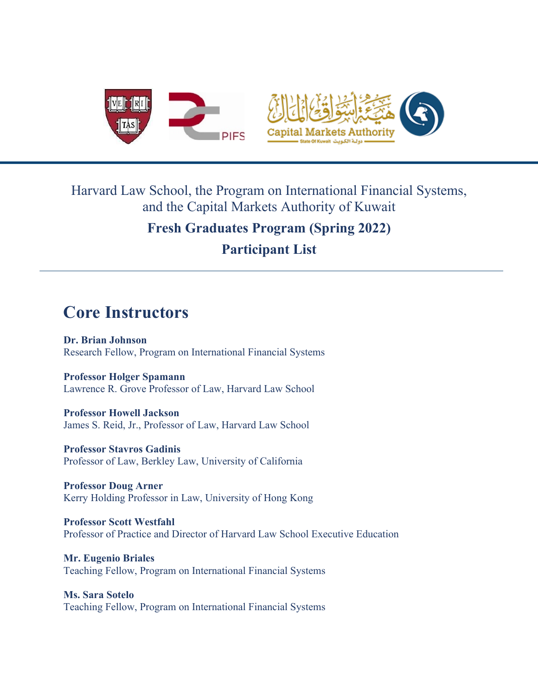

## Harvard Law School, the Program on International Financial Systems, and the Capital Markets Authority of Kuwait

## **Fresh Graduates Program (Spring 2022)**

**Participant List**

## **Core Instructors**

**Dr. Brian Johnson** Research Fellow, Program on International Financial Systems

**Professor Holger Spamann** Lawrence R. Grove Professor of Law, Harvard Law School

**Professor Howell Jackson** James S. Reid, Jr., Professor of Law, Harvard Law School

**Professor Stavros Gadinis**  Professor of Law, Berkley Law, University of California

**Professor Doug Arner** Kerry Holding Professor in Law, University of Hong Kong

**Professor Scott Westfahl**  Professor of Practice and Director of Harvard Law School Executive Education

**Mr. Eugenio Briales**  Teaching Fellow, Program on International Financial Systems

**Ms. Sara Sotelo**  Teaching Fellow, Program on International Financial Systems